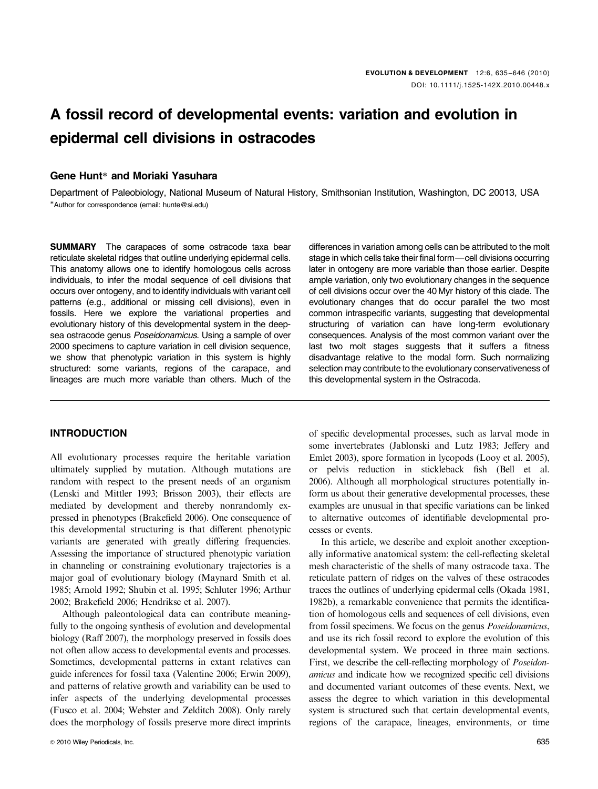# A fossil record of developmental events: variation and evolution in epidermal cell divisions in ostracodes

## Gene Hunt<sup>\*</sup> and Moriaki Yasuhara

Department of Paleobiology, National Museum of Natural History, Smithsonian Institution, Washington, DC 20013, USA -Author for correspondence (email: [hunte@si.edu\)](mailto:hunte@si.edu)

**SUMMARY** The carapaces of some ostracode taxa bear reticulate skeletal ridges that outline underlying epidermal cells. This anatomy allows one to identify homologous cells across individuals, to infer the modal sequence of cell divisions that occurs over ontogeny, and to identify individuals with variant cell patterns (e.g., additional or missing cell divisions), even in fossils. Here we explore the variational properties and evolutionary history of this developmental system in the deepsea ostracode genus Poseidonamicus. Using a sample of over 2000 specimens to capture variation in cell division sequence, we show that phenotypic variation in this system is highly structured: some variants, regions of the carapace, and lineages are much more variable than others. Much of the

### INTRODUCTION

All evolutionary processes require the heritable variation ultimately supplied by mutation. Although mutations are random with respect to the present needs of an organism (Lenski and Mittler 1993; Brisson 2003), their effects are mediated by development and thereby nonrandomly expressed in phenotypes (Brakefield 2006). One consequence of this developmental structuring is that different phenotypic variants are generated with greatly differing frequencies. Assessing the importance of structured phenotypic variation in channeling or constraining evolutionary trajectories is a major goal of evolutionary biology (Maynard Smith et al. 1985; Arnold 1992; Shubin et al. 1995; Schluter 1996; Arthur 2002; Brakefield 2006; Hendrikse et al. 2007).

Although paleontological data can contribute meaningfully to the ongoing synthesis of evolution and developmental biology (Raff 2007), the morphology preserved in fossils does not often allow access to developmental events and processes. Sometimes, developmental patterns in extant relatives can guide inferences for fossil taxa (Valentine 2006; Erwin 2009), and patterns of relative growth and variability can be used to infer aspects of the underlying developmental processes (Fusco et al. 2004; Webster and Zelditch 2008). Only rarely does the morphology of fossils preserve more direct imprints

differences in variation among cells can be attributed to the molt stage in which cells take their final form-cell divisions occurring later in ontogeny are more variable than those earlier. Despite ample variation, only two evolutionary changes in the sequence of cell divisions occur over the 40 Myr history of this clade. The evolutionary changes that do occur parallel the two most common intraspecific variants, suggesting that developmental structuring of variation can have long-term evolutionary consequences. Analysis of the most common variant over the last two molt stages suggests that it suffers a fitness disadvantage relative to the modal form. Such normalizing selection may contribute to the evolutionary conservativeness of this developmental system in the Ostracoda.

of specific developmental processes, such as larval mode in some invertebrates (Jablonski and Lutz 1983; Jeffery and Emlet 2003), spore formation in lycopods (Looy et al. 2005), or pelvis reduction in stickleback fish (Bell et al. 2006). Although all morphological structures potentially inform us about their generative developmental processes, these examples are unusual in that specific variations can be linked to alternative outcomes of identifiable developmental processes or events.

In this article, we describe and exploit another exceptionally informative anatomical system: the cell-reflecting skeletal mesh characteristic of the shells of many ostracode taxa. The reticulate pattern of ridges on the valves of these ostracodes traces the outlines of underlying epidermal cells (Okada 1981, 1982b), a remarkable convenience that permits the identification of homologous cells and sequences of cell divisions, even from fossil specimens. We focus on the genus Poseidonamicus, and use its rich fossil record to explore the evolution of this developmental system. We proceed in three main sections. First, we describe the cell-reflecting morphology of Poseidonamicus and indicate how we recognized specific cell divisions and documented variant outcomes of these events. Next, we assess the degree to which variation in this developmental system is structured such that certain developmental events, regions of the carapace, lineages, environments, or time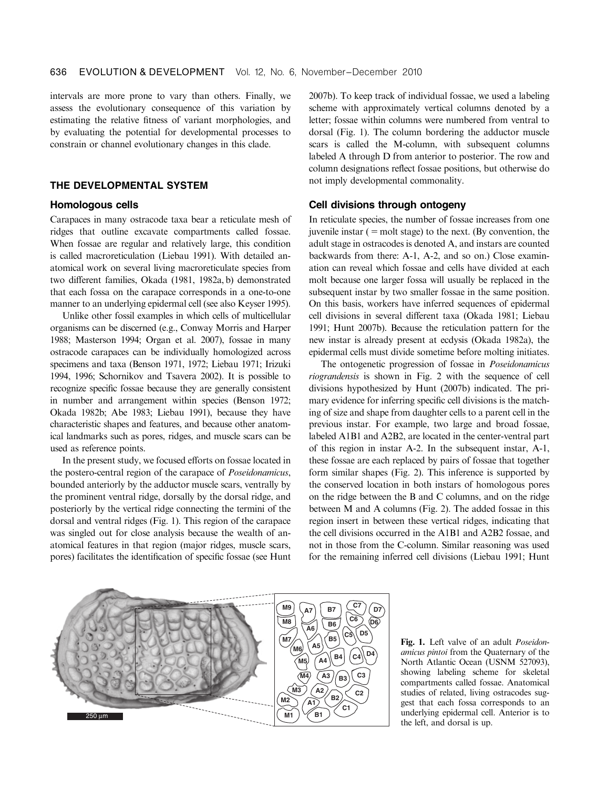intervals are more prone to vary than others. Finally, we assess the evolutionary consequence of this variation by estimating the relative fitness of variant morphologies, and by evaluating the potential for developmental processes to constrain or channel evolutionary changes in this clade.

### THE DEVELOPMENTAL SYSTEM

#### Homologous cells

Carapaces in many ostracode taxa bear a reticulate mesh of ridges that outline excavate compartments called fossae. When fossae are regular and relatively large, this condition is called macroreticulation (Liebau 1991). With detailed anatomical work on several living macroreticulate species from two different families, Okada (1981, 1982a, b) demonstrated that each fossa on the carapace corresponds in a one-to-one manner to an underlying epidermal cell (see also Keyser 1995).

Unlike other fossil examples in which cells of multicellular organisms can be discerned (e.g., Conway Morris and Harper 1988; Masterson 1994; Organ et al. 2007), fossae in many ostracode carapaces can be individually homologized across specimens and taxa (Benson 1971, 1972; Liebau 1971; Irizuki 1994, 1996; Schornikov and Tsavera 2002). It is possible to recognize specific fossae because they are generally consistent in number and arrangement within species (Benson 1972; Okada 1982b; Abe 1983; Liebau 1991), because they have characteristic shapes and features, and because other anatomical landmarks such as pores, ridges, and muscle scars can be used as reference points.

In the present study, we focused efforts on fossae located in the postero-central region of the carapace of Poseidonamicus, bounded anteriorly by the adductor muscle scars, ventrally by the prominent ventral ridge, dorsally by the dorsal ridge, and posteriorly by the vertical ridge connecting the termini of the dorsal and ventral ridges (Fig. 1). This region of the carapace was singled out for close analysis because the wealth of anatomical features in that region (major ridges, muscle scars, pores) facilitates the identification of specific fossae (see Hunt 2007b). To keep track of individual fossae, we used a labeling scheme with approximately vertical columns denoted by a letter; fossae within columns were numbered from ventral to dorsal (Fig. 1). The column bordering the adductor muscle scars is called the M-column, with subsequent columns labeled A through D from anterior to posterior. The row and column designations reflect fossae positions, but otherwise do not imply developmental commonality.

#### Cell divisions through ontogeny

In reticulate species, the number of fossae increases from one juvenile instar  $($  = molt stage) to the next. (By convention, the adult stage in ostracodes is denoted A, and instars are counted backwards from there: A-1, A-2, and so on.) Close examination can reveal which fossae and cells have divided at each molt because one larger fossa will usually be replaced in the subsequent instar by two smaller fossae in the same position. On this basis, workers have inferred sequences of epidermal cell divisions in several different taxa (Okada 1981; Liebau 1991; Hunt 2007b). Because the reticulation pattern for the new instar is already present at ecdysis (Okada 1982a), the epidermal cells must divide sometime before molting initiates.

The ontogenetic progression of fossae in Poseidonamicus riograndensis is shown in Fig. 2 with the sequence of cell divisions hypothesized by Hunt (2007b) indicated. The primary evidence for inferring specific cell divisions is the matching of size and shape from daughter cells to a parent cell in the previous instar. For example, two large and broad fossae, labeled A1B1 and A2B2, are located in the center-ventral part of this region in instar A-2. In the subsequent instar, A-1, these fossae are each replaced by pairs of fossae that together form similar shapes (Fig. 2). This inference is supported by the conserved location in both instars of homologous pores on the ridge between the B and C columns, and on the ridge between M and A columns (Fig. 2). The added fossae in this region insert in between these vertical ridges, indicating that the cell divisions occurred in the A1B1 and A2B2 fossae, and not in those from the C-column. Similar reasoning was used for the remaining inferred cell divisions (Liebau 1991; Hunt



Fig. 1. Left valve of an adult Poseidonamicus pintoi from the Quaternary of the North Atlantic Ocean (USNM 527093), showing labeling scheme for skeletal compartments called fossae. Anatomical studies of related, living ostracodes suggest that each fossa corresponds to an underlying epidermal cell. Anterior is to the left, and dorsal is up.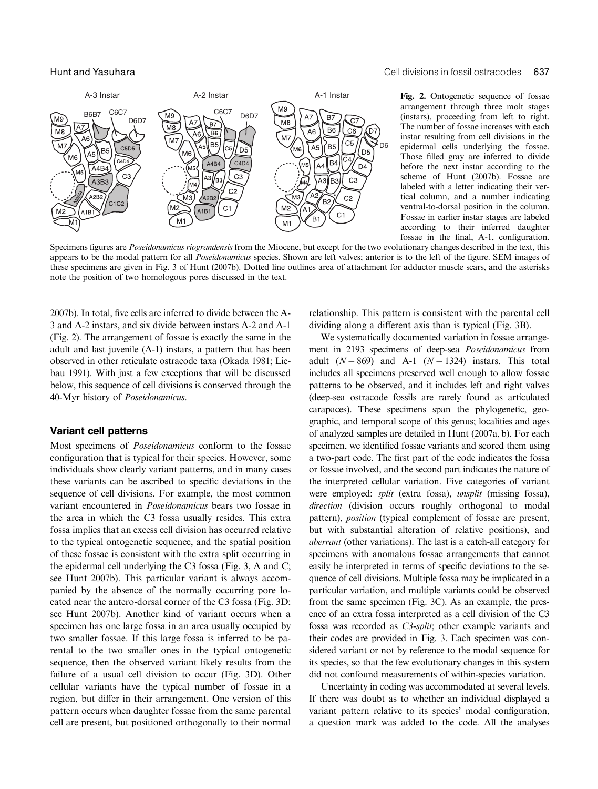

Hunt and Yasuhara Cell divisions in fossil ostracodes 637

Fig. 2. Ontogenetic sequence of fossae arrangement through three molt stages (instars), proceeding from left to right. The number of fossae increases with each instar resulting from cell divisions in the epidermal cells underlying the fossae. Those filled gray are inferred to divide before the next instar according to the scheme of Hunt (2007b). Fossae are labeled with a letter indicating their vertical column, and a number indicating ventral-to-dorsal position in the column. Fossae in earlier instar stages are labeled according to their inferred daughter fossae in the final, A-1, configuration.

Specimens figures are *Poseidonamicus riograndensis* from the Miocene, but except for the two evolutionary changes described in the text, this appears to be the modal pattern for all Poseidonamicus species. Shown are left valves; anterior is to the left of the figure. SEM images of these specimens are given in Fig. 3 of Hunt (2007b). Dotted line outlines area of attachment for adductor muscle scars, and the asterisks note the position of two homologous pores discussed in the text.

2007b). In total, five cells are inferred to divide between the A-3 and A-2 instars, and six divide between instars A-2 and A-1 (Fig. 2). The arrangement of fossae is exactly the same in the adult and last juvenile (A-1) instars, a pattern that has been observed in other reticulate ostracode taxa (Okada 1981; Liebau 1991). With just a few exceptions that will be discussed below, this sequence of cell divisions is conserved through the 40-Myr history of Poseidonamicus.

#### Variant cell patterns

Most specimens of Poseidonamicus conform to the fossae configuration that is typical for their species. However, some individuals show clearly variant patterns, and in many cases these variants can be ascribed to specific deviations in the sequence of cell divisions. For example, the most common variant encountered in Poseidonamicus bears two fossae in the area in which the C3 fossa usually resides. This extra fossa implies that an excess cell division has occurred relative to the typical ontogenetic sequence, and the spatial position of these fossae is consistent with the extra split occurring in the epidermal cell underlying the C3 fossa (Fig. 3, A and C; see Hunt 2007b). This particular variant is always accompanied by the absence of the normally occurring pore located near the antero-dorsal corner of the C3 fossa (Fig. 3D; see Hunt 2007b). Another kind of variant occurs when a specimen has one large fossa in an area usually occupied by two smaller fossae. If this large fossa is inferred to be parental to the two smaller ones in the typical ontogenetic sequence, then the observed variant likely results from the failure of a usual cell division to occur (Fig. 3D). Other cellular variants have the typical number of fossae in a region, but differ in their arrangement. One version of this pattern occurs when daughter fossae from the same parental cell are present, but positioned orthogonally to their normal relationship. This pattern is consistent with the parental cell dividing along a different axis than is typical (Fig. 3B).

We systematically documented variation in fossae arrangement in 2193 specimens of deep-sea Poseidonamicus from adult  $(N = 869)$  and A-1  $(N = 1324)$  instars. This total includes all specimens preserved well enough to allow fossae patterns to be observed, and it includes left and right valves (deep-sea ostracode fossils are rarely found as articulated carapaces). These specimens span the phylogenetic, geographic, and temporal scope of this genus; localities and ages of analyzed samples are detailed in Hunt (2007a, b). For each specimen, we identified fossae variants and scored them using a two-part code. The first part of the code indicates the fossa or fossae involved, and the second part indicates the nature of the interpreted cellular variation. Five categories of variant were employed: split (extra fossa), unsplit (missing fossa), direction (division occurs roughly orthogonal to modal pattern), *position* (typical complement of fossae are present, but with substantial alteration of relative positions), and aberrant (other variations). The last is a catch-all category for specimens with anomalous fossae arrangements that cannot easily be interpreted in terms of specific deviations to the sequence of cell divisions. Multiple fossa may be implicated in a particular variation, and multiple variants could be observed from the same specimen (Fig. 3C). As an example, the presence of an extra fossa interpreted as a cell division of the C3 fossa was recorded as C3-split; other example variants and their codes are provided in Fig. 3. Each specimen was considered variant or not by reference to the modal sequence for its species, so that the few evolutionary changes in this system did not confound measurements of within-species variation.

Uncertainty in coding was accommodated at several levels. If there was doubt as to whether an individual displayed a variant pattern relative to its species' modal configuration, a question mark was added to the code. All the analyses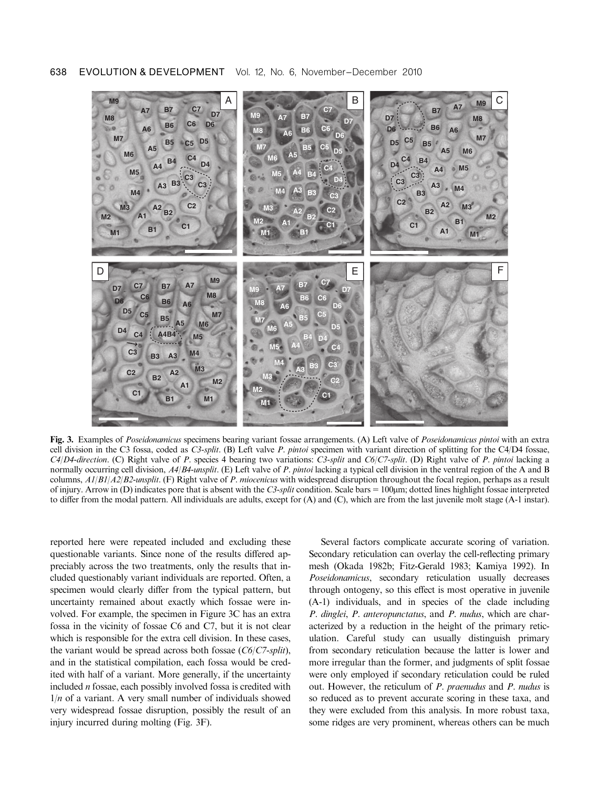

Fig. 3. Examples of Poseidonamicus specimens bearing variant fossae arrangements. (A) Left valve of Poseidonamicus pintoi with an extra cell division in the C3 fossa, coded as C3-split. (B) Left valve P. pintoi specimen with variant direction of splitting for the C4/D4 fossae,  $C4/D4$ -direction. (C) Right valve of P. species 4 bearing two variations: C3-split and  $C6/C7$ -split. (D) Right valve of P. pintoi lacking a normally occurring cell division, A4/B4-unsplit. (E) Left valve of P. pintoi lacking a typical cell division in the ventral region of the A and B columns,  $A1/B1/A2/B2$ -unsplit. (F) Right valve of P. miocenicus with widespread disruption throughout the focal region, perhaps as a result of injury. Arrow in (D) indicates pore that is absent with the C3-split condition. Scale bars  $= 100 \mu m$ ; dotted lines highlight fossae interpreted to differ from the modal pattern. All individuals are adults, except for (A) and (C), which are from the last juvenile molt stage (A-1 instar).

reported here were repeated included and excluding these questionable variants. Since none of the results differed appreciably across the two treatments, only the results that included questionably variant individuals are reported. Often, a specimen would clearly differ from the typical pattern, but uncertainty remained about exactly which fossae were involved. For example, the specimen in Figure 3C has an extra fossa in the vicinity of fossae C6 and C7, but it is not clear which is responsible for the extra cell division. In these cases, the variant would be spread across both fossae  $(C6/C7-split)$ , and in the statistical compilation, each fossa would be credited with half of a variant. More generally, if the uncertainty included n fossae, each possibly involved fossa is credited with  $1/n$  of a variant. A very small number of individuals showed very widespread fossae disruption, possibly the result of an injury incurred during molting (Fig. 3F).

Several factors complicate accurate scoring of variation. Secondary reticulation can overlay the cell-reflecting primary mesh (Okada 1982b; Fitz-Gerald 1983; Kamiya 1992). In Poseidonamicus, secondary reticulation usually decreases through ontogeny, so this effect is most operative in juvenile (A-1) individuals, and in species of the clade including P. dinglei, P. anteropunctatus, and P. nudus, which are characterized by a reduction in the height of the primary reticulation. Careful study can usually distinguish primary from secondary reticulation because the latter is lower and more irregular than the former, and judgments of split fossae were only employed if secondary reticulation could be ruled out. However, the reticulum of P. praenudus and P. nudus is so reduced as to prevent accurate scoring in these taxa, and they were excluded from this analysis. In more robust taxa, some ridges are very prominent, whereas others can be much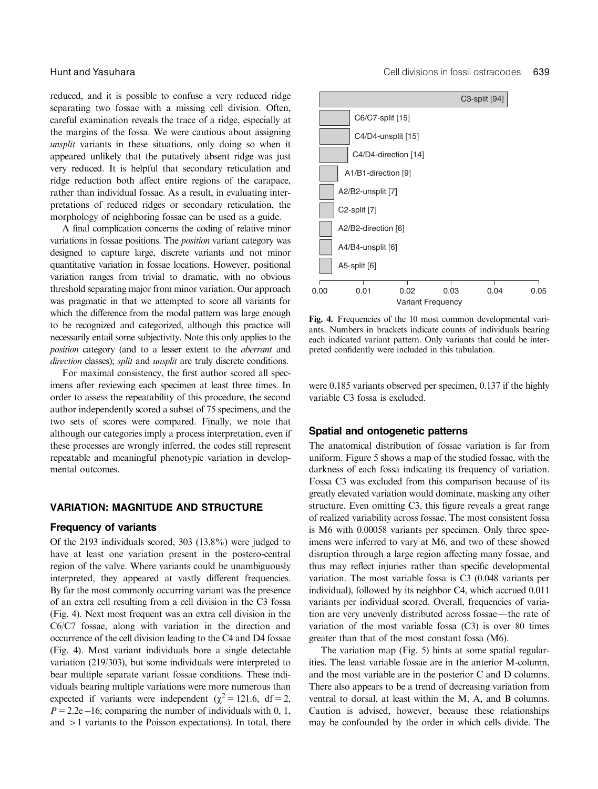reduced, and it is possible to confuse a very reduced ridge separating two fossae with a missing cell division. Often, careful examination reveals the trace of a ridge, especially at the margins of the fossa. We were cautious about assigning unsplit variants in these situations, only doing so when it appeared unlikely that the putatively absent ridge was just very reduced. It is helpful that secondary reticulation and ridge reduction both affect entire regions of the carapace, rather than individual fossae. As a result, in evaluating interpretations of reduced ridges or secondary reticulation, the morphology of neighboring fossae can be used as a guide.

A final complication concerns the coding of relative minor variations in fossae positions. The position variant category was designed to capture large, discrete variants and not minor quantitative variation in fossae locations. However, positional variation ranges from trivial to dramatic, with no obvious threshold separating major from minor variation. Our approach was pragmatic in that we attempted to score all variants for which the difference from the modal pattern was large enough to be recognized and categorized, although this practice will necessarily entail some subjectivity. Note this only applies to the position category (and to a lesser extent to the aberrant and direction classes); split and unsplit are truly discrete conditions.

For maximal consistency, the first author scored all specimens after reviewing each specimen at least three times. In order to assess the repeatability of this procedure, the second author independently scored a subset of 75 specimens, and the two sets of scores were compared. Finally, we note that although our categories imply a process interpretation, even if these processes are wrongly inferred, the codes still represent repeatable and meaningful phenotypic variation in developmental outcomes.

#### VARIATION: MAGNITUDE AND STRUCTURE

#### Frequency of variants

Of the 2193 individuals scored, 303 (13.8%) were judged to have at least one variation present in the postero-central region of the valve. Where variants could be unambiguously interpreted, they appeared at vastly different frequencies. By far the most commonly occurring variant was the presence of an extra cell resulting from a cell division in the C3 fossa (Fig. 4). Next most frequent was an extra cell division in the C6/C7 fossae, along with variation in the direction and occurrence of the cell division leading to the C4 and D4 fossae (Fig. 4). Most variant individuals bore a single detectable variation (219/303), but some individuals were interpreted to bear multiple separate variant fossae conditions. These individuals bearing multiple variations were more numerous than expected if variants were independent ( $\chi^2$  = 121.6, df = 2,  $P = 2.2e - 16$ ; comparing the number of individuals with 0, 1, and  $>1$  variants to the Poisson expectations). In total, there



Fig. 4. Frequencies of the 10 most common developmental variants. Numbers in brackets indicate counts of individuals bearing each indicated variant pattern. Only variants that could be interpreted confidently were included in this tabulation.

were 0.185 variants observed per specimen, 0.137 if the highly variable C3 fossa is excluded.

#### Spatial and ontogenetic patterns

The anatomical distribution of fossae variation is far from uniform. Figure 5 shows a map of the studied fossae, with the darkness of each fossa indicating its frequency of variation. Fossa C3 was excluded from this comparison because of its greatly elevated variation would dominate, masking any other structure. Even omitting C3, this figure reveals a great range of realized variability across fossae. The most consistent fossa is M6 with 0.00058 variants per specimen. Only three specimens were inferred to vary at M6, and two of these showed disruption through a large region affecting many fossae, and thus may reflect injuries rather than specific developmental variation. The most variable fossa is C3 (0.048 variants per individual), followed by its neighbor C4, which accrued 0.011 variants per individual scored. Overall, frequencies of variation are very unevenly distributed across fossae—the rate of variation of the most variable fossa (C3) is over 80 times greater than that of the most constant fossa (M6).

The variation map (Fig. 5) hints at some spatial regularities. The least variable fossae are in the anterior M-column, and the most variable are in the posterior C and D columns. There also appears to be a trend of decreasing variation from ventral to dorsal, at least within the M, A, and B columns. Caution is advised, however, because these relationships may be confounded by the order in which cells divide. The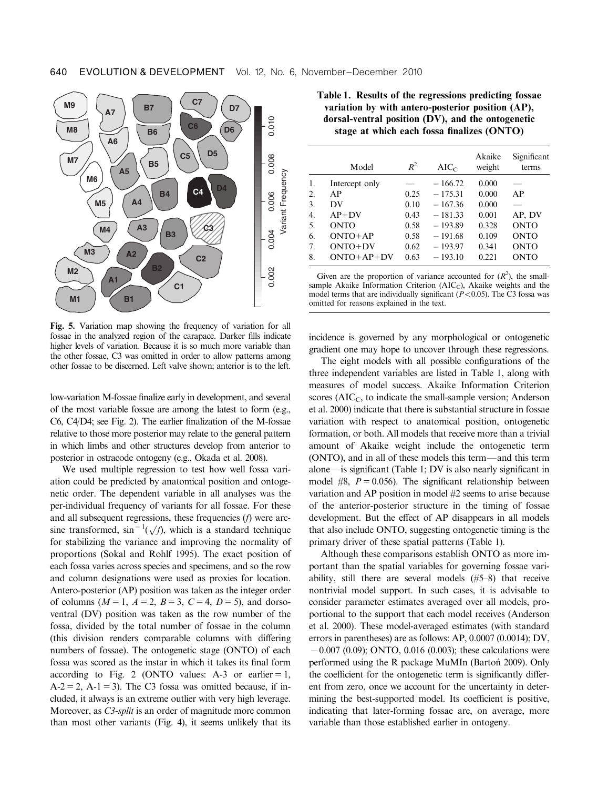

Fig. 5. Variation map showing the frequency of variation for all fossae in the analyzed region of the carapace. Darker fills indicate higher levels of variation. Because it is so much more variable than the other fossae, C3 was omitted in order to allow patterns among other fossae to be discerned. Left valve shown; anterior is to the left.

low-variation M-fossae finalize early in development, and several of the most variable fossae are among the latest to form (e.g., C6, C4/D4; see Fig. 2). The earlier finalization of the M-fossae relative to those more posterior may relate to the general pattern in which limbs and other structures develop from anterior to posterior in ostracode ontogeny (e.g., Okada et al. 2008).

We used multiple regression to test how well fossa variation could be predicted by anatomical position and ontogenetic order. The dependent variable in all analyses was the per-individual frequency of variants for all fossae. For these and all subsequent regressions, these frequencies (f) were arcsine transformed,  $\sin^{-1}(\sqrt{f})$ , which is a standard technique for stabilizing the variance and improving the normality of proportions (Sokal and Rohlf 1995). The exact position of each fossa varies across species and specimens, and so the row and column designations were used as proxies for location. Antero-posterior (AP) position was taken as the integer order of columns ( $M = 1$ ,  $A = 2$ ,  $B = 3$ ,  $C = 4$ ,  $D = 5$ ), and dorsoventral (DV) position was taken as the row number of the fossa, divided by the total number of fossae in the column (this division renders comparable columns with differing numbers of fossae). The ontogenetic stage (ONTO) of each fossa was scored as the instar in which it takes its final form according to Fig. 2 (ONTO values: A-3 or earlier  $= 1$ ,  $A-2 = 2$ ,  $A-1 = 3$ ). The C3 fossa was omitted because, if included, it always is an extreme outlier with very high leverage. Moreover, as *C3-split* is an order of magnitude more common than most other variants (Fig. 4), it seems unlikely that its

Table 1. Results of the regressions predicting fossae variation by with antero-posterior position (AP), dorsal-ventral position (DV), and the ontogenetic stage at which each fossa finalizes (ONTO)

|    | Model          | $R^2$ | $AIC_C$   | Akaike<br>weight | Significant<br>terms |
|----|----------------|-------|-----------|------------------|----------------------|
| 1. | Intercept only |       | $-166.72$ | 0.000            |                      |
| 2. | AP             | 0.25  | $-175.31$ | 0.000            | AP                   |
| 3. | DV             | 0.10  | $-167.36$ | 0.000            |                      |
| 4. | $AP+DV$        | 0.43  | $-181.33$ | 0.001            | AP, DV               |
| 5. | <b>ONTO</b>    | 0.58  | $-193.89$ | 0.328            | <b>ONTO</b>          |
| 6. | $ONTO+AP$      | 0.58  | $-191.68$ | 0.109            | <b>ONTO</b>          |
| 7. | $ONTO+DV$      | 0.62  | $-193.97$ | 0.341            | <b>ONTO</b>          |
| 8. | $ONTO+AP+DV$   | 0.63  | $-193.10$ | 0.221            | <b>ONTO</b>          |
|    |                |       |           |                  |                      |

Given are the proportion of variance accounted for  $(R^2)$ , the smallsample Akaike Information Criterion (AIC<sub>C</sub>), Akaike weights and the model terms that are individually significant ( $P < 0.05$ ). The C3 fossa was omitted for reasons explained in the text.

incidence is governed by any morphological or ontogenetic gradient one may hope to uncover through these regressions.

The eight models with all possible configurations of the three independent variables are listed in Table 1, along with measures of model success. Akaike Information Criterion scores ( $AIC<sub>C</sub>$ , to indicate the small-sample version; Anderson et al. 2000) indicate that there is substantial structure in fossae variation with respect to anatomical position, ontogenetic formation, or both. All models that receive more than a trivial amount of Akaike weight include the ontogenetic term  $(ONTO)$ , and in all of these models this term—and this term alone—is significant (Table 1; DV is also nearly significant in model #8,  $P = 0.056$ . The significant relationship between variation and AP position in model #2 seems to arise because of the anterior-posterior structure in the timing of fossae development. But the effect of AP disappears in all models that also include ONTO, suggesting ontogenetic timing is the primary driver of these spatial patterns (Table 1).

Although these comparisons establish ONTO as more important than the spatial variables for governing fossae variability, still there are several models (#5–8) that receive nontrivial model support. In such cases, it is advisable to consider parameter estimates averaged over all models, proportional to the support that each model receives (Anderson et al. 2000). These model-averaged estimates (with standard errors in parentheses) are as follows: AP, 0.0007 (0.0014); DV,  $-0.007$  (0.09); ONTO, 0.016 (0.003); these calculations were performed using the R package MuMIn (Barton<sup>'</sup> 2009). Only the coefficient for the ontogenetic term is significantly different from zero, once we account for the uncertainty in determining the best-supported model. Its coefficient is positive, indicating that later-forming fossae are, on average, more variable than those established earlier in ontogeny.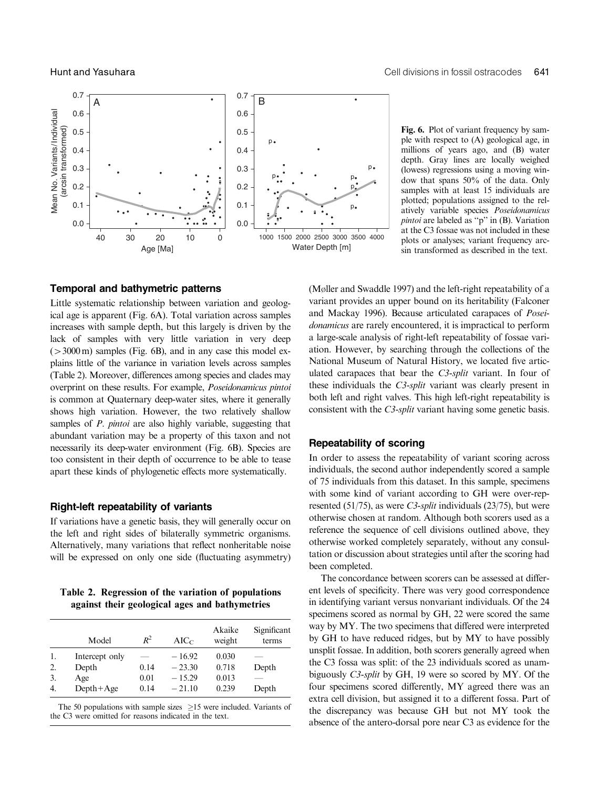

#### Temporal and bathymetric patterns

Little systematic relationship between variation and geological age is apparent (Fig. 6A). Total variation across samples increases with sample depth, but this largely is driven by the lack of samples with very little variation in very deep  $(>3000 \,\mathrm{m})$  samples (Fig. 6B), and in any case this model explains little of the variance in variation levels across samples (Table 2). Moreover, differences among species and clades may overprint on these results. For example, Poseidonamicus pintoi is common at Quaternary deep-water sites, where it generally shows high variation. However, the two relatively shallow samples of *P. pintoi* are also highly variable, suggesting that abundant variation may be a property of this taxon and not necessarily its deep-water environment (Fig. 6B). Species are too consistent in their depth of occurrence to be able to tease apart these kinds of phylogenetic effects more systematically.

#### Right-left repeatability of variants

If variations have a genetic basis, they will generally occur on the left and right sides of bilaterally symmetric organisms. Alternatively, many variations that reflect nonheritable noise will be expressed on only one side (fluctuating asymmetry)

Table 2. Regression of the variation of populations against their geological ages and bathymetries

|                  | Model          | $R^2$ | $AIC_C$  | Akaike<br>weight | Significant<br>terms |
|------------------|----------------|-------|----------|------------------|----------------------|
| 1.               | Intercept only |       | $-16.92$ | 0.030            |                      |
| 2.               | Depth          | 0.14  | $-23.30$ | 0.718            | Depth                |
| 3.               | Age            | 0.01  | $-15.29$ | 0.013            |                      |
| $\overline{4}$ . | $Depth+Age$    | 0.14  | $-21.10$ | 0.239            | Depth                |

The 50 populations with sample sizes  $>15$  were included. Variants of the C3 were omitted for reasons indicated in the text.

Fig. 6. Plot of variant frequency by sample with respect to (A) geological age, in millions of years ago, and (B) water depth. Gray lines are locally weighed (lowess) regressions using a moving window that spans 50% of the data. Only samples with at least 15 individuals are plotted; populations assigned to the relatively variable species Poseidonamicus pintoi are labeled as ''p'' in (B). Variation at the C3 fossae was not included in these plots or analyses; variant frequency arcsin transformed as described in the text.

(Møller and Swaddle 1997) and the left-right repeatability of a variant provides an upper bound on its heritability (Falconer and Mackay 1996). Because articulated carapaces of Poseidonamicus are rarely encountered, it is impractical to perform a large-scale analysis of right-left repeatability of fossae variation. However, by searching through the collections of the National Museum of Natural History, we located five articulated carapaces that bear the C3-split variant. In four of these individuals the C3-split variant was clearly present in both left and right valves. This high left-right repeatability is consistent with the C3-split variant having some genetic basis.

#### Repeatability of scoring

In order to assess the repeatability of variant scoring across individuals, the second author independently scored a sample of 75 individuals from this dataset. In this sample, specimens with some kind of variant according to GH were over-represented (51/75), as were *C3-split* individuals (23/75), but were otherwise chosen at random. Although both scorers used as a reference the sequence of cell divisions outlined above, they otherwise worked completely separately, without any consultation or discussion about strategies until after the scoring had been completed.

The concordance between scorers can be assessed at different levels of specificity. There was very good correspondence in identifying variant versus nonvariant individuals. Of the 24 specimens scored as normal by GH, 22 were scored the same way by MY. The two specimens that differed were interpreted by GH to have reduced ridges, but by MY to have possibly unsplit fossae. In addition, both scorers generally agreed when the C3 fossa was split: of the 23 individuals scored as unambiguously C3-split by GH, 19 were so scored by MY. Of the four specimens scored differently, MY agreed there was an extra cell division, but assigned it to a different fossa. Part of the discrepancy was because GH but not MY took the absence of the antero-dorsal pore near C3 as evidence for the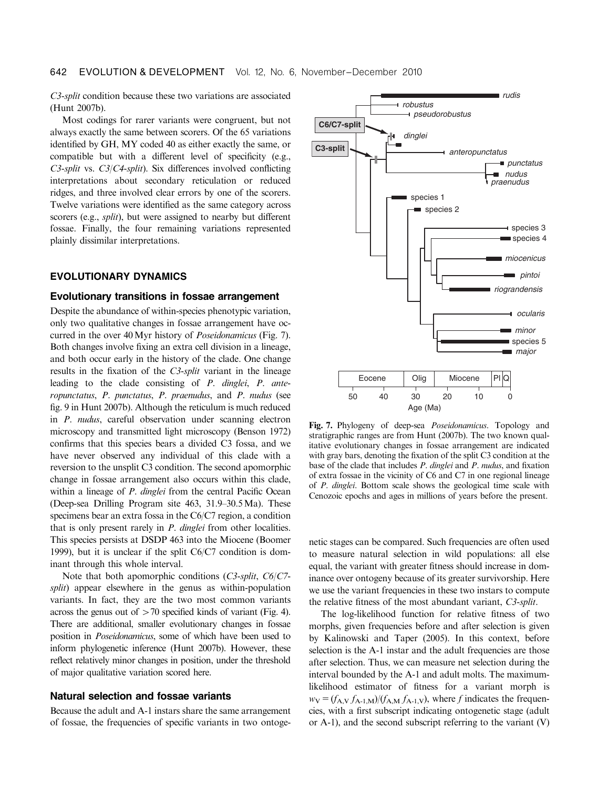C3-split condition because these two variations are associated (Hunt 2007b).

Most codings for rarer variants were congruent, but not always exactly the same between scorers. Of the 65 variations identified by GH, MY coded 40 as either exactly the same, or compatible but with a different level of specificity (e.g., C3-split vs. C3/C4-split). Six differences involved conflicting interpretations about secondary reticulation or reduced ridges, and three involved clear errors by one of the scorers. Twelve variations were identified as the same category across scorers (e.g., *split*), but were assigned to nearby but different fossae. Finally, the four remaining variations represented plainly dissimilar interpretations.

#### EVOLUTIONARY DYNAMICS

#### Evolutionary transitions in fossae arrangement

Despite the abundance of within-species phenotypic variation, only two qualitative changes in fossae arrangement have occurred in the over 40Myr history of Poseidonamicus (Fig. 7). Both changes involve fixing an extra cell division in a lineage, and both occur early in the history of the clade. One change results in the fixation of the C3-split variant in the lineage leading to the clade consisting of P. dinglei, P. anteropunctatus, P. punctatus, P. praenudus, and P. nudus (see fig. 9 in Hunt 2007b). Although the reticulum is much reduced in P. nudus, careful observation under scanning electron microscopy and transmitted light microscopy (Benson 1972) confirms that this species bears a divided C3 fossa, and we have never observed any individual of this clade with a reversion to the unsplit C3 condition. The second apomorphic change in fossae arrangement also occurs within this clade, within a lineage of *P. dinglei* from the central Pacific Ocean (Deep-sea Drilling Program site 463, 31.9–30.5Ma). These specimens bear an extra fossa in the C6/C7 region, a condition that is only present rarely in P. dinglei from other localities. This species persists at DSDP 463 into the Miocene (Boomer 1999), but it is unclear if the split C6/C7 condition is dominant through this whole interval.

Note that both apomorphic conditions (C3-split, C6/C7 split) appear elsewhere in the genus as within-population variants. In fact, they are the two most common variants across the genus out of  $>70$  specified kinds of variant (Fig. 4). There are additional, smaller evolutionary changes in fossae position in Poseidonamicus, some of which have been used to inform phylogenetic inference (Hunt 2007b). However, these reflect relatively minor changes in position, under the threshold of major qualitative variation scored here.

#### Natural selection and fossae variants

Because the adult and A-1 instars share the same arrangement of fossae, the frequencies of specific variants in two ontoge-



Fig. 7. Phylogeny of deep-sea Poseidonamicus. Topology and stratigraphic ranges are from Hunt (2007b). The two known qualitative evolutionary changes in fossae arrangement are indicated with gray bars, denoting the fixation of the split C3 condition at the base of the clade that includes P. dinglei and P. nudus, and fixation of extra fossae in the vicinity of C6 and C7 in one regional lineage of P. dinglei. Bottom scale shows the geological time scale with Cenozoic epochs and ages in millions of years before the present.

netic stages can be compared. Such frequencies are often used to measure natural selection in wild populations: all else equal, the variant with greater fitness should increase in dominance over ontogeny because of its greater survivorship. Here we use the variant frequencies in these two instars to compute the relative fitness of the most abundant variant, C3-split.

The log-likelihood function for relative fitness of two morphs, given frequencies before and after selection is given by Kalinowski and Taper (2005). In this context, before selection is the A-1 instar and the adult frequencies are those after selection. Thus, we can measure net selection during the interval bounded by the A-1 and adult molts. The maximumlikelihood estimator of fitness for a variant morph is  $w_V = (f_{A,V} f_{A-1,M})/(f_{A,M} f_{A-1,V})$ , where f indicates the frequencies, with a first subscript indicating ontogenetic stage (adult or A-1), and the second subscript referring to the variant (V)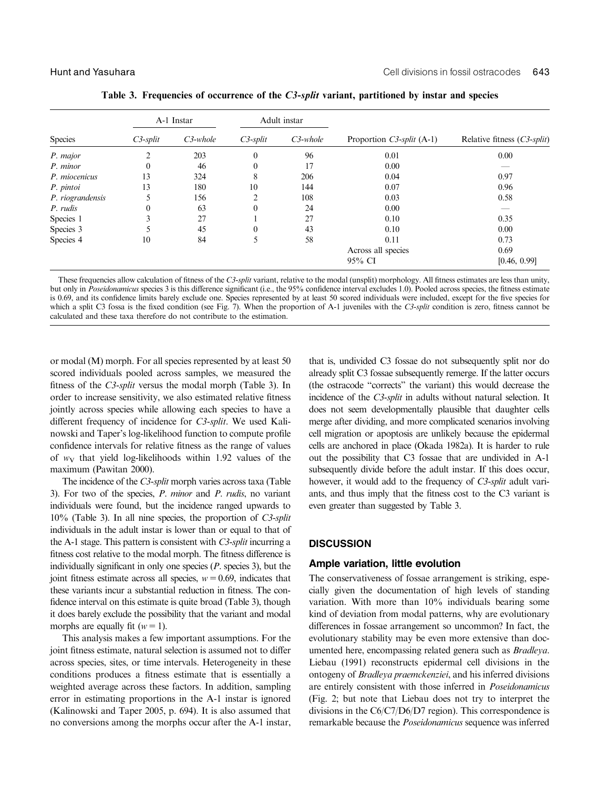|                  | A-1 Instar  |             | Adult instar |             |                              |                             |
|------------------|-------------|-------------|--------------|-------------|------------------------------|-----------------------------|
| Species          | $C3$ -split | $C3$ -whole | $C3$ -split  | $C3$ -whole | Proportion $C3$ -split (A-1) | Relative fitness (C3-split) |
| P. major         | 2           | 203         | $\mathbf{0}$ | 96          | 0.01                         | 0.00                        |
| P. minor         | $\theta$    | 46          | $\theta$     | 17          | 0.00                         |                             |
| P. miocenicus    | 13          | 324         | 8            | 206         | 0.04                         | 0.97                        |
| P. pintoi        | 13          | 180         | 10           | 144         | 0.07                         | 0.96                        |
| P. riograndensis |             | 156         | ∍            | 108         | 0.03                         | 0.58                        |
| P. rudis         | $\theta$    | 63          | $\theta$     | 24          | 0.00                         |                             |
| Species 1        | 3           | 27          |              | 27          | 0.10                         | 0.35                        |
| Species 3        | 5           | 45          | $\theta$     | 43          | 0.10                         | 0.00                        |
| Species 4        | 10          | 84          | 5            | 58          | 0.11                         | 0.73                        |
|                  |             |             |              |             | Across all species           | 0.69                        |
|                  |             |             |              | 95% CI      |                              | [0.46, 0.99]                |

Table 3. Frequencies of occurrence of the  $C3$ -split variant, partitioned by instar and species

These frequencies allow calculation of fitness of the C3-split variant, relative to the modal (unsplit) morphology. All fitness estimates are less than unity, but only in Poseidonamicus species 3 is this difference significant (i.e., the 95% confidence interval excludes 1.0). Pooled across species, the fitness estimate is 0.69, and its confidence limits barely exclude one. Species represented by at least 50 scored individuals were included, except for the five species for which a split C3 fossa is the fixed condition (see Fig. 7). When the proportion of A-1 juveniles with the  $C3$ -split condition is zero, fitness cannot be calculated and these taxa therefore do not contribute to the estimation.

or modal (M) morph. For all species represented by at least 50 scored individuals pooled across samples, we measured the fitness of the C3-split versus the modal morph (Table 3). In order to increase sensitivity, we also estimated relative fitness jointly across species while allowing each species to have a different frequency of incidence for C3-split. We used Kalinowski and Taper's log-likelihood function to compute profile confidence intervals for relative fitness as the range of values of  $w_V$  that yield log-likelihoods within 1.92 values of the maximum (Pawitan 2000).

The incidence of the C3-split morph varies across taxa (Table 3). For two of the species, P. minor and P. rudis, no variant individuals were found, but the incidence ranged upwards to 10% (Table 3). In all nine species, the proportion of C3-split individuals in the adult instar is lower than or equal to that of the A-1 stage. This pattern is consistent with C3-split incurring a fitness cost relative to the modal morph. The fitness difference is individually significant in only one species (P. species 3), but the joint fitness estimate across all species,  $w=0.69$ , indicates that these variants incur a substantial reduction in fitness. The confidence interval on this estimate is quite broad (Table 3), though it does barely exclude the possibility that the variant and modal morphs are equally fit ( $w=1$ ).

This analysis makes a few important assumptions. For the joint fitness estimate, natural selection is assumed not to differ across species, sites, or time intervals. Heterogeneity in these conditions produces a fitness estimate that is essentially a weighted average across these factors. In addition, sampling error in estimating proportions in the A-1 instar is ignored (Kalinowski and Taper 2005, p. 694). It is also assumed that no conversions among the morphs occur after the A-1 instar,

that is, undivided C3 fossae do not subsequently split nor do already split C3 fossae subsequently remerge. If the latter occurs (the ostracode ''corrects'' the variant) this would decrease the incidence of the C3-split in adults without natural selection. It does not seem developmentally plausible that daughter cells merge after dividing, and more complicated scenarios involving cell migration or apoptosis are unlikely because the epidermal cells are anchored in place (Okada 1982a). It is harder to rule out the possibility that C3 fossae that are undivided in A-1 subsequently divide before the adult instar. If this does occur, however, it would add to the frequency of C3-split adult variants, and thus imply that the fitness cost to the C3 variant is even greater than suggested by Table 3.

#### **DISCUSSION**

#### Ample variation, little evolution

The conservativeness of fossae arrangement is striking, especially given the documentation of high levels of standing variation. With more than 10% individuals bearing some kind of deviation from modal patterns, why are evolutionary differences in fossae arrangement so uncommon? In fact, the evolutionary stability may be even more extensive than documented here, encompassing related genera such as Bradleya. Liebau (1991) reconstructs epidermal cell divisions in the ontogeny of Bradleya praemckenziei, and his inferred divisions are entirely consistent with those inferred in Poseidonamicus (Fig. 2; but note that Liebau does not try to interpret the divisions in the C6/C7/D6/D7 region). This correspondence is remarkable because the Poseidonamicus sequence was inferred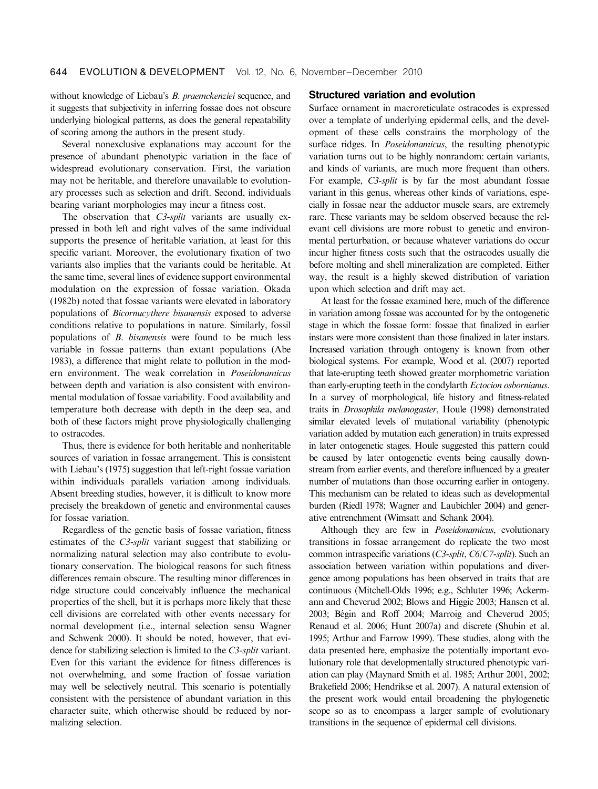without knowledge of Liebau's B. praemckenziei sequence, and it suggests that subjectivity in inferring fossae does not obscure underlying biological patterns, as does the general repeatability of scoring among the authors in the present study.

Several nonexclusive explanations may account for the presence of abundant phenotypic variation in the face of widespread evolutionary conservation. First, the variation may not be heritable, and therefore unavailable to evolutionary processes such as selection and drift. Second, individuals bearing variant morphologies may incur a fitness cost.

The observation that C3-split variants are usually expressed in both left and right valves of the same individual supports the presence of heritable variation, at least for this specific variant. Moreover, the evolutionary fixation of two variants also implies that the variants could be heritable. At the same time, several lines of evidence support environmental modulation on the expression of fossae variation. Okada (1982b) noted that fossae variants were elevated in laboratory populations of Bicornucythere bisanensis exposed to adverse conditions relative to populations in nature. Similarly, fossil populations of B. bisanensis were found to be much less variable in fossae patterns than extant populations (Abe 1983), a difference that might relate to pollution in the modern environment. The weak correlation in Poseidonamicus between depth and variation is also consistent with environmental modulation of fossae variability. Food availability and temperature both decrease with depth in the deep sea, and both of these factors might prove physiologically challenging to ostracodes.

Thus, there is evidence for both heritable and nonheritable sources of variation in fossae arrangement. This is consistent with Liebau's (1975) suggestion that left-right fossae variation within individuals parallels variation among individuals. Absent breeding studies, however, it is difficult to know more precisely the breakdown of genetic and environmental causes for fossae variation.

Regardless of the genetic basis of fossae variation, fitness estimates of the C3-split variant suggest that stabilizing or normalizing natural selection may also contribute to evolutionary conservation. The biological reasons for such fitness differences remain obscure. The resulting minor differences in ridge structure could conceivably influence the mechanical properties of the shell, but it is perhaps more likely that these cell divisions are correlated with other events necessary for normal development (i.e., internal selection sensu Wagner and Schwenk 2000). It should be noted, however, that evidence for stabilizing selection is limited to the C3-split variant. Even for this variant the evidence for fitness differences is not overwhelming, and some fraction of fossae variation may well be selectively neutral. This scenario is potentially consistent with the persistence of abundant variation in this character suite, which otherwise should be reduced by normalizing selection.

#### Structured variation and evolution

Surface ornament in macroreticulate ostracodes is expressed over a template of underlying epidermal cells, and the development of these cells constrains the morphology of the surface ridges. In *Poseidonamicus*, the resulting phenotypic variation turns out to be highly nonrandom: certain variants, and kinds of variants, are much more frequent than others. For example, C3-split is by far the most abundant fossae variant in this genus, whereas other kinds of variations, especially in fossae near the adductor muscle scars, are extremely rare. These variants may be seldom observed because the relevant cell divisions are more robust to genetic and environmental perturbation, or because whatever variations do occur incur higher fitness costs such that the ostracodes usually die before molting and shell mineralization are completed. Either way, the result is a highly skewed distribution of variation upon which selection and drift may act.

At least for the fossae examined here, much of the difference in variation among fossae was accounted for by the ontogenetic stage in which the fossae form: fossae that finalized in earlier instars were more consistent than those finalized in later instars. Increased variation through ontogeny is known from other biological systems. For example, Wood et al. (2007) reported that late-erupting teeth showed greater morphometric variation than early-erupting teeth in the condylarth Ectocion osbornianus. In a survey of morphological, life history and fitness-related traits in Drosophila melanogaster, Houle (1998) demonstrated similar elevated levels of mutational variability (phenotypic variation added by mutation each generation) in traits expressed in later ontogenetic stages. Houle suggested this pattern could be caused by later ontogenetic events being causally downstream from earlier events, and therefore influenced by a greater number of mutations than those occurring earlier in ontogeny. This mechanism can be related to ideas such as developmental burden (Riedl 1978; Wagner and Laubichler 2004) and generative entrenchment (Wimsatt and Schank 2004).

Although they are few in Poseidonamicus, evolutionary transitions in fossae arrangement do replicate the two most common intraspecific variations (C3-split, C6/C7-split). Such an association between variation within populations and divergence among populations has been observed in traits that are continuous (Mitchell-Olds 1996; e.g., Schluter 1996; Ackermann and Cheverud 2002; Blows and Higgie 2003; Hansen et al. 2003; Bégin and Roff 2004; Marroig and Cheverud 2005; Renaud et al. 2006; Hunt 2007a) and discrete (Shubin et al. 1995; Arthur and Farrow 1999). These studies, along with the data presented here, emphasize the potentially important evolutionary role that developmentally structured phenotypic variation can play (Maynard Smith et al. 1985; Arthur 2001, 2002; Brakefield 2006; Hendrikse et al. 2007). A natural extension of the present work would entail broadening the phylogenetic scope so as to encompass a larger sample of evolutionary transitions in the sequence of epidermal cell divisions.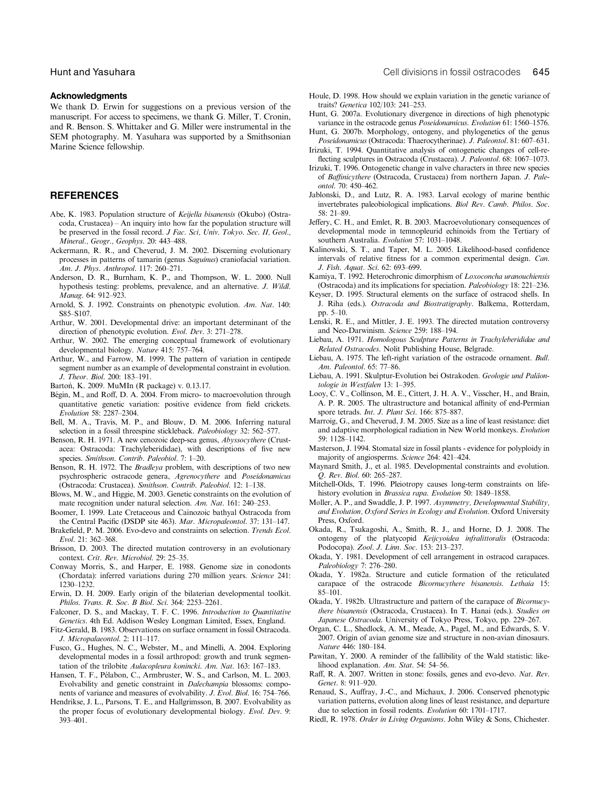#### Acknowledgments

We thank D. Erwin for suggestions on a previous version of the manuscript. For access to specimens, we thank G. Miller, T. Cronin, and R. Benson. S. Whittaker and G. Miller were instrumental in the SEM photography. M. Yasuhara was supported by a Smithsonian Marine Science fellowship.

#### **REFERENCES**

- Abe, K. 1983. Population structure of Keijella bisanensis (Okubo) (Ostracoda, Crustacea) – An inquiry into how far the population structure will be preserved in the fossil record. J Fac. Sci, Univ. Tokyo. Sec. II, Geol., Mineral., Geogr., Geophys. 20: 443–488.
- Ackermann, R. R., and Cheverud, J. M. 2002. Discerning evolutionary processes in patterns of tamarin (genus Saguinus) craniofacial variation. Am. J. Phys. Anthropol. 117: 260–271.
- Anderson, D. R., Burnham, K. P., and Thompson, W. L. 2000. Null hypothesis testing: problems, prevalence, and an alternative. J. Wildl. Manag. 64: 912–923.
- Arnold, S. J. 1992. Constraints on phenotypic evolution. Am. Nat. 140: S85–S107.
- Arthur, W. 2001. Developmental drive: an important determinant of the direction of phenotypic evolution. Evol. Dev. 3: 271–278.
- Arthur, W. 2002. The emerging conceptual framework of evolutionary developmental biology. Nature 415: 757–764.
- Arthur, W., and Farrow, M. 1999. The pattern of variation in centipede segment number as an example of developmental constraint in evolution. J. Theor. Biol. 200: 183–191.
- Bartoń, K. 2009. MuMIn (R package) v. 0.13.17.
- Bégin, M., and Roff, D. A. 2004. From micro- to macroevolution through quantitative genetic variation: positive evidence from field crickets. Evolution 58: 2287–2304.
- Bell, M. A., Travis, M. P., and Blouw, D. M. 2006. Inferring natural selection in a fossil threespine stickleback. Paleobiology 32: 562–577.
- Benson, R. H. 1971. A new cenozoic deep-sea genus, Abyssocythere (Crustacea: Ostracoda: Trachyleberididae), with descriptions of five new species. Smithson. Contrib. Paleobiol. 7: 1-20.
- Benson, R. H. 1972. The *Bradleya* problem, with descriptions of two new psychrospheric ostracode genera, Agrenocythere and Poseidonamicus (Ostracoda: Crustacea). Smithson. Contrib. Paleobiol. 12: 1–138.
- Blows, M. W., and Higgie, M. 2003. Genetic constraints on the evolution of mate recognition under natural selection. Am. Nat. 161: 240–253.
- Boomer, I. 1999. Late Cretaceous and Cainozoic bathyal Ostracoda from the Central Pacific (DSDP site 463). Mar. Micropaleontol. 37: 131–147.
- Brakefield, P. M. 2006. Evo-devo and constraints on selection. Trends Ecol. Evol. 21: 362–368.
- Brisson, D. 2003. The directed mutation controversy in an evolutionary context. Crit. Rev. Microbiol. 29: 25–35.
- Conway Morris, S., and Harper, E. 1988. Genome size in conodonts (Chordata): inferred variations during 270 million years. Science 241: 1230–1232.
- Erwin, D. H. 2009. Early origin of the bilaterian developmental toolkit. Philos. Trans. R. Soc. B Biol. Sci. 364: 2253–2261.
- Falconer, D. S., and Mackay, T. F. C. 1996. Introduction to Quantitative Genetics. 4th Ed. Addison Wesley Longman Limited, Essex, England.
- Fitz-Gerald, B. 1983. Observations on surface ornament in fossil Ostracoda. J. Micropalaeontol. 2: 111–117.
- Fusco, G., Hughes, N. C., Webster, M., and Minelli, A. 2004. Exploring developmental modes in a fossil arthropod: growth and trunk segmentation of the trilobite Aulacopleura konincki. Am. Nat. 163: 167–183.
- Hansen, T. F., Pélabon, C., Armbruster, W. S., and Carlson, M. L. 2003. Evolvability and genetic constraint in Dalechampia blossoms: components of variance and measures of evolvability. J. Evol. Biol. 16: 754–766.
- Hendrikse, J. L., Parsons, T. E., and Hallgrimsson, B. 2007. Evolvability as the proper focus of evolutionary developmental biology. Evol. Dev. 9: 393–401.
- Houle, D. 1998. How should we explain variation in the genetic variance of traits? Genetica 102/103: 241–253.
- Hunt, G. 2007a. Evolutionary divergence in directions of high phenotypic variance in the ostracode genus Poseidonamicus. Evolution 61: 1560–1576.
- Hunt, G. 2007b. Morphology, ontogeny, and phylogenetics of the genus Poseidonamicus (Ostracoda: Thaerocytherinae). J. Paleontol. 81: 607–631.
- Irizuki, T. 1994. Quantitative analysis of ontogenetic changes of cell-reflecting sculptures in Ostracoda (Crustacea). J. Paleontol. 68: 1067–1073.
- Irizuki, T. 1996. Ontogenetic change in valve characters in three new species of Baffinicythere (Ostracoda, Crustacea) from northern Japan. J. Paleontol. 70: 450–462.
- Jablonski, D., and Lutz, R. A. 1983. Larval ecology of marine benthic invertebrates paleobiological implications. Biol Rev. Camb. Philos. Soc. 58: 21–89.
- Jeffery, C. H., and Emlet, R. B. 2003. Macroevolutionary consequences of developmental mode in temnopleurid echinoids from the Tertiary of southern Australia. Evolution 57: 1031–1048.
- Kalinowski, S. T., and Taper, M. L. 2005. Likelihood-based confidence intervals of relative fitness for a common experimental design. Can. J. Fish. Aquat. Sci. 62: 693–699.
- Kamiya, T. 1992. Heterochronic dimorphism of Loxoconcha uranouchiensis (Ostracoda) and its implications for speciation. Paleobiology 18: 221–236.
- Keyser, D. 1995. Structural elements on the surface of ostracod shells. In J. Riha (eds.). Ostracoda and Biostratigraphy. Balkema, Rotterdam, pp. 5–10.
- Lenski, R. E., and Mittler, J. E. 1993. The directed mutation controversy and Neo-Darwinism. Science 259: 188–194.
- Liebau, A. 1971. Homologous Sculpture Patterns in Trachyleberididae and Related Ostracodes. Nolit Publishing House, Belgrade.
- Liebau, A. 1975. The left-right variation of the ostracode ornament. Bull. Am. Paleontol. 65: 77–86.
- Liebau, A. 1991. Skulptur-Evolution bei Ostrakoden. Geologie und Paläontologie in Westfalen 13: 1–395.
- Looy, C. V., Collinson, M. E., Cittert, J. H. A. V., Visscher, H., and Brain, A. P. R. 2005. The ultrastructure and botanical affinity of end-Permian spore tetrads. Int. J. Plant Sci. 166: 875-887.
- Marroig, G., and Cheverud, J. M. 2005. Size as a line of least resistance: diet and adaptive morphological radiation in New World monkeys. Evolution 59: 1128–1142.
- Masterson, J. 1994. Stomatal size in fossil plants evidence for polyploidy in majority of angiosperms. Science 264: 421–424.
- Maynard Smith, J., et al. 1985. Developmental constraints and evolution. Q. Rev. Biol. 60: 265–287.
- Mitchell-Olds, T. 1996. Pleiotropy causes long-term constraints on lifehistory evolution in Brassica rapa. Evolution 50: 1849–1858.
- Møller, A. P., and Swaddle, J. P. 1997. Asymmetry, Developmental Stability, and Evolution, Oxford Series in Ecology and Evolution. Oxford University Press, Oxford.
- Okada, R., Tsukagoshi, A., Smith, R. J., and Horne, D. J. 2008. The ontogeny of the platycopid Keijcyoidea infralittoralis (Ostracoda: Podocopa). Zool. J. Linn. Soc. 153: 213–237.
- Okada, Y. 1981. Development of cell arrangement in ostracod carapaces. Paleobiology 7: 276–280.
- Okada, Y. 1982a. Structure and cuticle formation of the reticulated carapace of the ostracode Bicornucythere bisanensis. Lethaia 15: 85–101.
- Okada, Y. 1982b. Ultrastructure and pattern of the carapace of Bicornucythere bisanensis (Ostracoda, Crustacea). In T. Hanai (eds.). Studies on Japanese Ostracoda. University of Tokyo Press, Tokyo, pp. 229–267.
- Organ, C. L., Shedlock, A. M., Meade, A., Pagel, M., and Edwards, S. V. 2007. Origin of avian genome size and structure in non-avian dinosaurs. Nature 446: 180–184.
- Pawitan, Y. 2000. A reminder of the fallibility of the Wald statistic: likelihood explanation. Am. Stat. 54: 54–56.
- Raff, R. A. 2007. Written in stone: fossils, genes and evo-devo. Nat. Rev. Genet. 8: 911–920.
- Renaud, S., Auffray, J.-C., and Michaux, J. 2006. Conserved phenotypic variation patterns, evolution along lines of least resistance, and departure due to selection in fossil rodents. Evolution 60: 1701–1717.
- Riedl, R. 1978. Order in Living Organisms. John Wiley & Sons, Chichester.